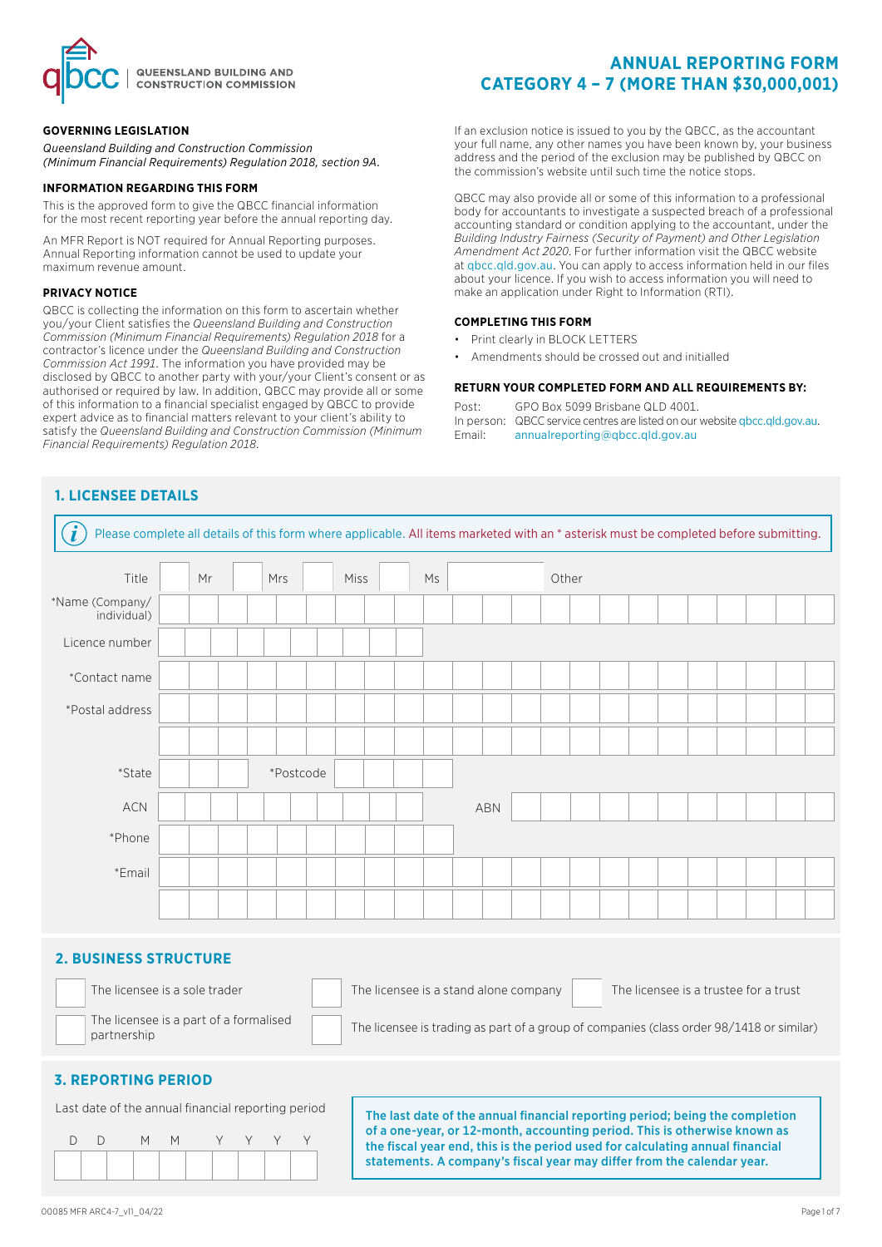

### **GOVERNING LEGISLATION**

*Queensland Building and Construction Commission (Minimum Financial Requirements) Regulation 2018, section 9A.*

### **INFORMATION REGARDING THIS FORM**

This is the approved form to give the QBCC financial information for the most recent reporting year before the annual reporting day.

An MFR Report is NOT required for Annual Reporting purposes. Annual Reporting information cannot be used to update your maximum revenue amount.

#### **PRIVACY NOTICE**

QBCC is collecting the information on this form to ascertain whether you/your Client satisfies the *Queensland Building and Construction Commission (Minimum Financial Requirements) Regulation 2018* for a contractor's licence under the *Queensland Building and Construction Commission Act 1991*. The information you have provided may be disclosed by QBCC to another party with your/your Client's consent or as authorised or required by law. In addition, QBCC may provide all or some of this information to a financial specialist engaged by QBCC to provide expert advice as to financial matters relevant to your client's ability to satisfy the *Queensland Building and Construction Commission (Minimum Financial Requirements) Regulation 2018*.

# **ANNUAL REPORTING FORM CATEGORY 4 – 7 (MORE THAN \$30,000,001)**

If an exclusion notice is issued to you by the QBCC, as the accountant your full name, any other names you have been known by, your business address and the period of the exclusion may be published by QBCC on the commission's website until such time the notice stops.

QBCC may also provide all or some of this information to a professional body for accountants to investigate a suspected breach of a professional accounting standard or condition applying to the accountant, under the *Building Industry Fairness (Security of Payment) and Other Legislation Amendment Act 2020*. For further information visit the QBCC website at qbcc.qld.gov.au. You can apply to access information held in our files about your licence. If you wish to access information you will need to make an application under Right to Information (RTI).

### **COMPLETING THIS FORM**

- Print clearly in BLOCK LETTERS
- Amendments should be crossed out and initialled

### **RETURN YOUR COMPLETED FORM AND ALL REQUIREMENTS BY:**

Post: GPO Box 5099 Brisbane QLD 4001.

In person: QBCC service centres are listed on our website qbcc.qld.gov.au. Email: [annualreporting@qbcc.qld.gov.au](mailto:annualreporting%40qbcc.qld.gov.au?subject=)

# **1. LICENSEE DETAILS**

| Please complete all details of this form where applicable. All items marketed with an * asterisk must be completed before submitting. |    |  |           |             |  |    |     |       |  |  |  |  |  |
|---------------------------------------------------------------------------------------------------------------------------------------|----|--|-----------|-------------|--|----|-----|-------|--|--|--|--|--|
| Title                                                                                                                                 | Mr |  | Mrs       | <b>Miss</b> |  | Ms |     | Other |  |  |  |  |  |
| *Name (Company/<br>individual)                                                                                                        |    |  |           |             |  |    |     |       |  |  |  |  |  |
| Licence number                                                                                                                        |    |  |           |             |  |    |     |       |  |  |  |  |  |
| *Contact name                                                                                                                         |    |  |           |             |  |    |     |       |  |  |  |  |  |
| *Postal address                                                                                                                       |    |  |           |             |  |    |     |       |  |  |  |  |  |
|                                                                                                                                       |    |  |           |             |  |    |     |       |  |  |  |  |  |
| *State                                                                                                                                |    |  | *Postcode |             |  |    |     |       |  |  |  |  |  |
| ACN                                                                                                                                   |    |  |           |             |  |    | ABN |       |  |  |  |  |  |
| *Phone                                                                                                                                |    |  |           |             |  |    |     |       |  |  |  |  |  |
| *Email                                                                                                                                |    |  |           |             |  |    |     |       |  |  |  |  |  |
|                                                                                                                                       |    |  |           |             |  |    |     |       |  |  |  |  |  |

## **2. BUSINESS STRUCTURE**

The licensee is a part of a formalised

The licensee is a sole trader The licensee is a stand alone company The licensee is a trustee for a trust



The licensee is a part of a formalised<br>nartnership

## **3. REPORTING PERIOD**



Last date of the annual financial reporting period The last date of the annual financial reporting period; being the completion of a one-year, or 12-month, accounting period. This is otherwise known as the fiscal year end, this is the period used for calculating annual financial statements. A company's fiscal year may differ from the calendar year.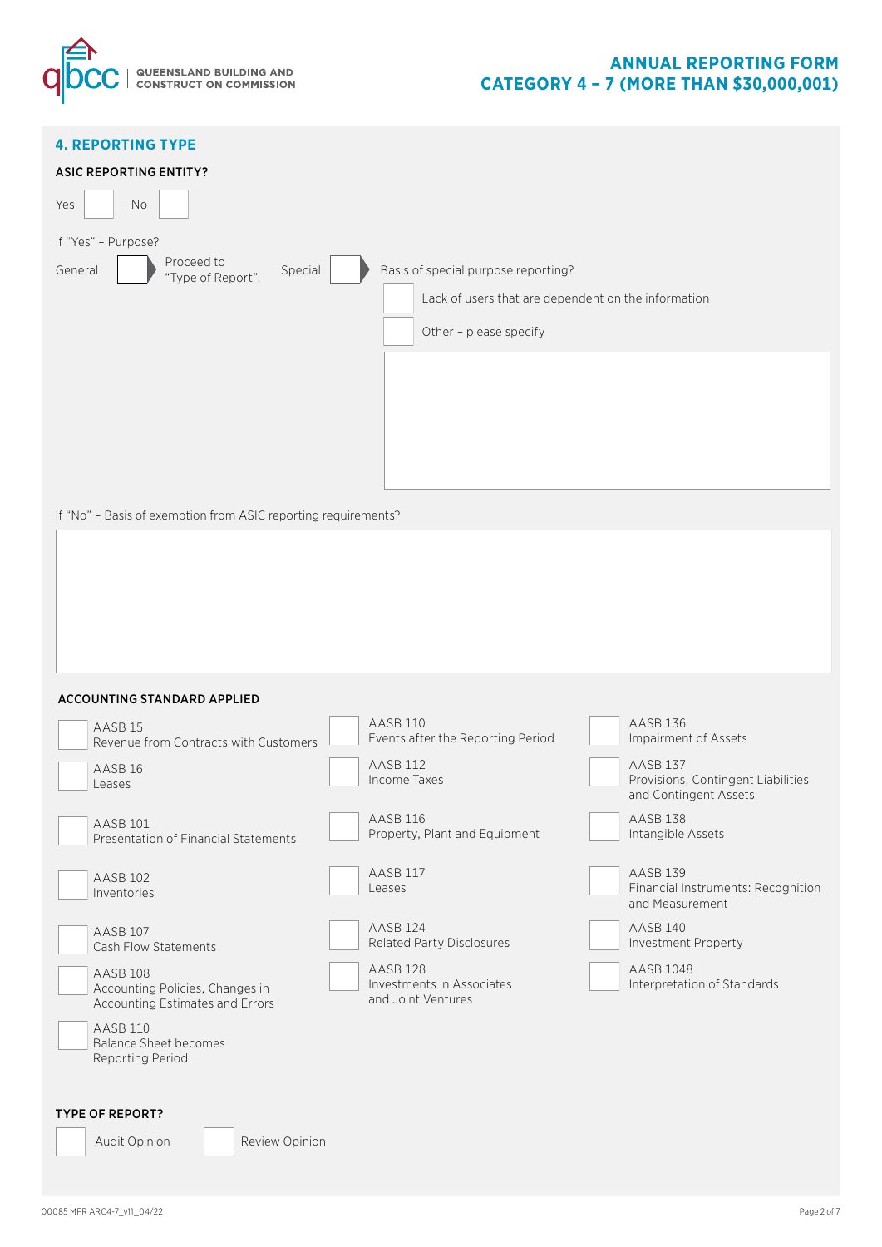

# **ANNUAL REPORTING FORM CATEGORY 4 – 7 (MORE THAN \$30,000,001)**

| <b>4. REPORTING TYPE</b><br><b>ASIC REPORTING ENTITY?</b><br>Yes<br>No<br>If "Yes" - Purpose? |                                                     |                                                             |
|-----------------------------------------------------------------------------------------------|-----------------------------------------------------|-------------------------------------------------------------|
| Proceed to<br>General<br>Special                                                              | Basis of special purpose reporting?                 |                                                             |
| "Type of Report".                                                                             |                                                     |                                                             |
|                                                                                               | Lack of users that are dependent on the information |                                                             |
|                                                                                               | Other - please specify                              |                                                             |
|                                                                                               |                                                     |                                                             |
|                                                                                               |                                                     |                                                             |
|                                                                                               |                                                     |                                                             |
| If "No" - Basis of exemption from ASIC reporting requirements?                                |                                                     |                                                             |
|                                                                                               |                                                     |                                                             |
| <b>ACCOUNTING STANDARD APPLIED</b>                                                            |                                                     |                                                             |
|                                                                                               | AASB 110                                            | AASB 136                                                    |
| AASB <sub>15</sub><br>Revenue from Contracts with Customers                                   | Events after the Reporting Period                   | Impairment of Assets                                        |
|                                                                                               | <b>AASB 112</b>                                     | <b>AASB 137</b>                                             |
| AASB <sub>16</sub><br>Leases                                                                  | Income Taxes                                        | Provisions, Contingent Liabilities<br>and Contingent Assets |
| AASB 101<br>Presentation of Financial Statements                                              | AASB 116<br>Property, Plant and Equipment           | <b>AASB 138</b><br>Intangible Assets                        |
| AASB 102                                                                                      | AASB 117<br>Leases                                  | AASB 139<br>Financial Instruments: Recognition              |
| Inventories                                                                                   |                                                     | and Measurement                                             |
| AASB 107<br>Cash Flow Statements                                                              | AASB 124<br>Related Party Disclosures               | AASB 140<br>Investment Property                             |
| AASB 108                                                                                      | AASB <sub>128</sub>                                 | AASB 1048                                                   |
| Accounting Policies, Changes in<br>Accounting Estimates and Errors                            | Investments in Associates<br>and Joint Ventures     | Interpretation of Standards                                 |
| AASB 110<br><b>Balance Sheet becomes</b><br>Reporting Period                                  |                                                     |                                                             |
| <b>TYPE OF REPORT?</b>                                                                        |                                                     |                                                             |
| Review Opinion<br>Audit Opinion                                                               |                                                     |                                                             |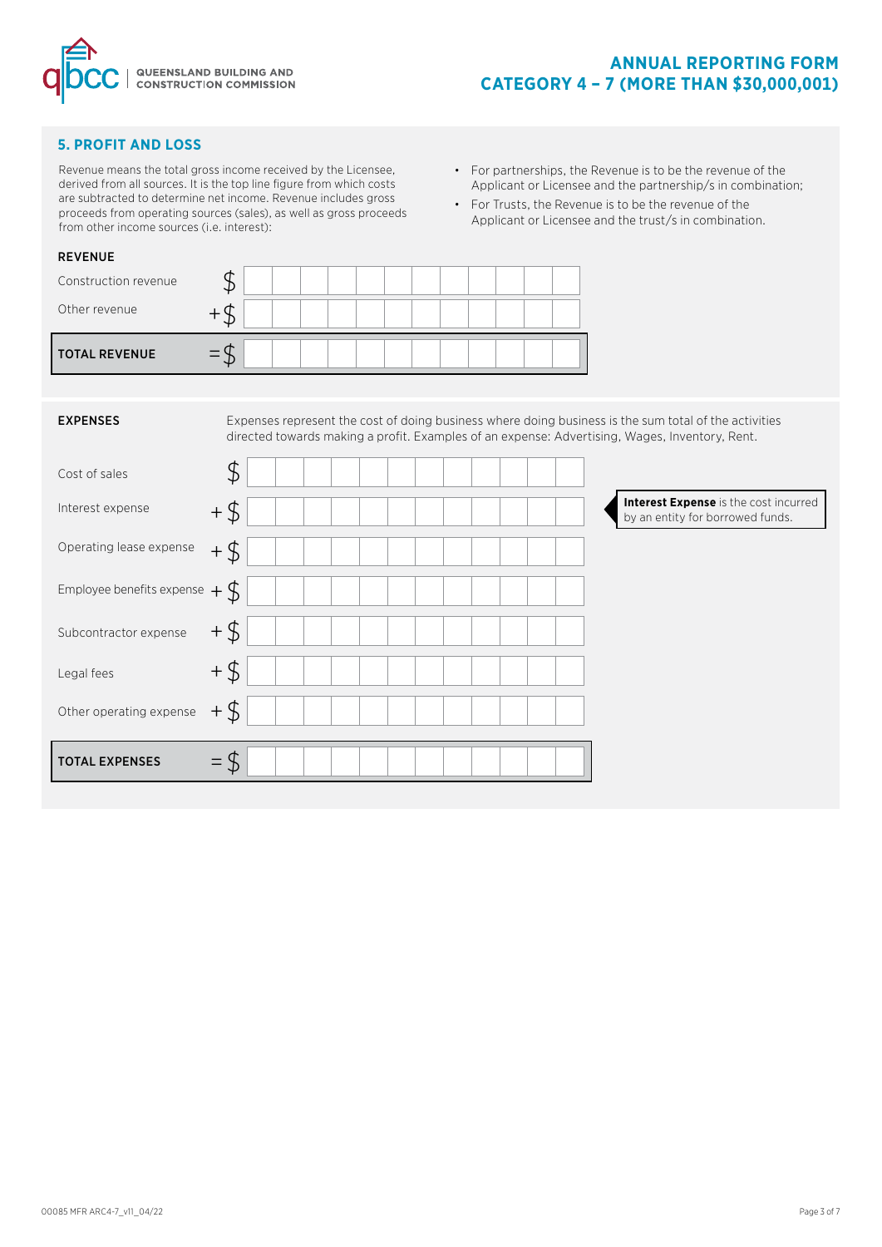

# **5. PROFIT AND LOSS**

Revenue means the total gross income received by the Licensee, derived from all sources. It is the top line figure from which costs are subtracted to determine net income. Revenue includes gross proceeds from operating sources (sales), as well as gross proceeds from other income sources (i.e. interest):

- For partnerships, the Revenue is to be the revenue of the Applicant or Licensee and the partnership/s in combination;
- For Trusts, the Revenue is to be the revenue of the Applicant or Licensee and the trust/s in combination.

| <b>REVENUE</b>       |  |  |  |  |  |  |  |
|----------------------|--|--|--|--|--|--|--|
| Construction revenue |  |  |  |  |  |  |  |
| Other revenue        |  |  |  |  |  |  |  |
| <b>TOTAL REVENUE</b> |  |  |  |  |  |  |  |

| <b>EXPENSES</b>                  |        |  |  |  |  |  |  | Expenses represent the cost of doing business where doing business is the sum total of the activities<br>directed towards making a profit. Examples of an expense: Advertising, Wages, Inventory, Rent. |                                                                           |  |
|----------------------------------|--------|--|--|--|--|--|--|---------------------------------------------------------------------------------------------------------------------------------------------------------------------------------------------------------|---------------------------------------------------------------------------|--|
| Cost of sales                    | \$     |  |  |  |  |  |  |                                                                                                                                                                                                         |                                                                           |  |
| Interest expense                 | $+$ \$ |  |  |  |  |  |  |                                                                                                                                                                                                         | Interest Expense is the cost incurred<br>by an entity for borrowed funds. |  |
| Operating lease expense          | $+$ \$ |  |  |  |  |  |  |                                                                                                                                                                                                         |                                                                           |  |
| Employee benefits expense $+$ \$ |        |  |  |  |  |  |  |                                                                                                                                                                                                         |                                                                           |  |
| Subcontractor expense            | $+$ \$ |  |  |  |  |  |  |                                                                                                                                                                                                         |                                                                           |  |
| Legal fees                       | $+$ \$ |  |  |  |  |  |  |                                                                                                                                                                                                         |                                                                           |  |
| Other operating expense          | $+$ \$ |  |  |  |  |  |  |                                                                                                                                                                                                         |                                                                           |  |
| <b>TOTAL EXPENSES</b>            |        |  |  |  |  |  |  |                                                                                                                                                                                                         |                                                                           |  |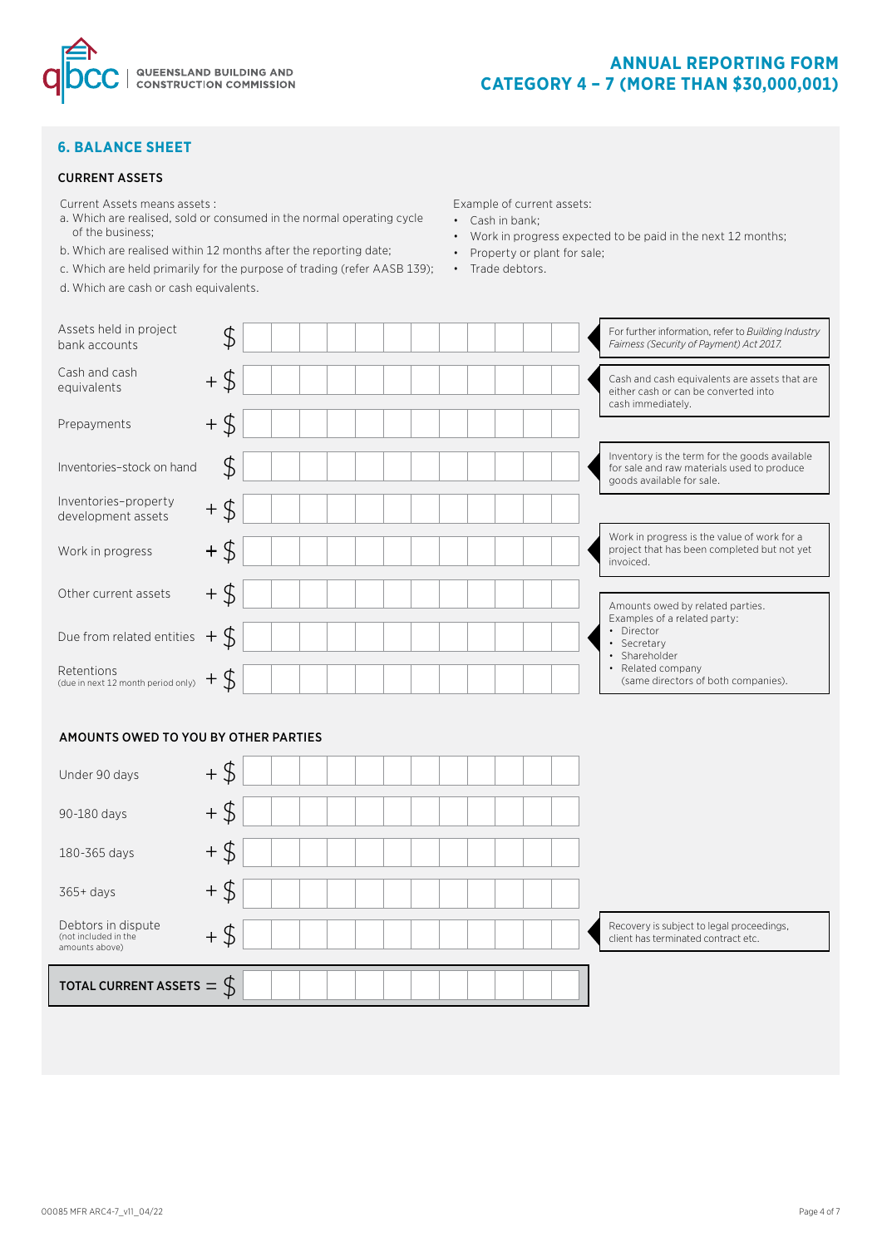

## **6. BALANCE SHEET**

## CURRENT ASSETS

- Current Assets means assets :
- a. Which are realised, sold or consumed in the normal operating cycle of the business;
- b. Which are realised within 12 months after the reporting date;
- c. Which are held primarily for the purpose of trading (refer AASB 139); Trade debtors.
- d. Which are cash or cash equivalents.

Example of current assets:

- Cash in bank;
- Work in progress expected to be paid in the next 12 months;
- Property or plant for sale;
	-

| Assets held in project<br>bank accounts          | \$     |  |  |  | For further information, refer to Building Industry<br>Fairness (Security of Payment) Act 2017.                          |
|--------------------------------------------------|--------|--|--|--|--------------------------------------------------------------------------------------------------------------------------|
| Cash and cash<br>equivalents                     | $+$ \$ |  |  |  | Cash and cash equivalents are assets that are<br>either cash or can be converted into<br>cash immediately.               |
| Prepayments                                      | $+$ \$ |  |  |  |                                                                                                                          |
| Inventories-stock on hand                        | \$     |  |  |  | Inventory is the term for the goods available<br>for sale and raw materials used to produce<br>goods available for sale. |
| Inventories-property<br>development assets       | $+$ \$ |  |  |  |                                                                                                                          |
| Work in progress                                 | $+$ \$ |  |  |  | Work in progress is the value of work for a<br>project that has been completed but not yet<br>invoiced.                  |
| Other current assets                             | $+$ \$ |  |  |  | Amounts owed by related parties.                                                                                         |
| Due from related entities $+$ \$                 |        |  |  |  | Examples of a related party:<br>• Director<br>Secretary<br>$\bullet$<br>Shareholder<br>$\bullet$                         |
| Retentions<br>(due in next 12 month period only) |        |  |  |  | Related company<br>$\bullet$<br>(same directors of both companies).                                                      |

## AMOUNTS OWED TO YOU BY OTHER PARTIES

| Under 90 days                                                | \$<br>$+$ |                                                                                  |
|--------------------------------------------------------------|-----------|----------------------------------------------------------------------------------|
| 90-180 days                                                  | $+ $$     |                                                                                  |
| 180-365 days                                                 | $+$<br>P  |                                                                                  |
| 365+ days                                                    | $+$<br>⊅  |                                                                                  |
| Debtors in dispute<br>(not included in the<br>amounts above) | $+$ \$    | Recovery is subject to legal proceedings,<br>client has terminated contract etc. |
| TOTAL CURRENT ASSETS $=$ $\oint$                             |           |                                                                                  |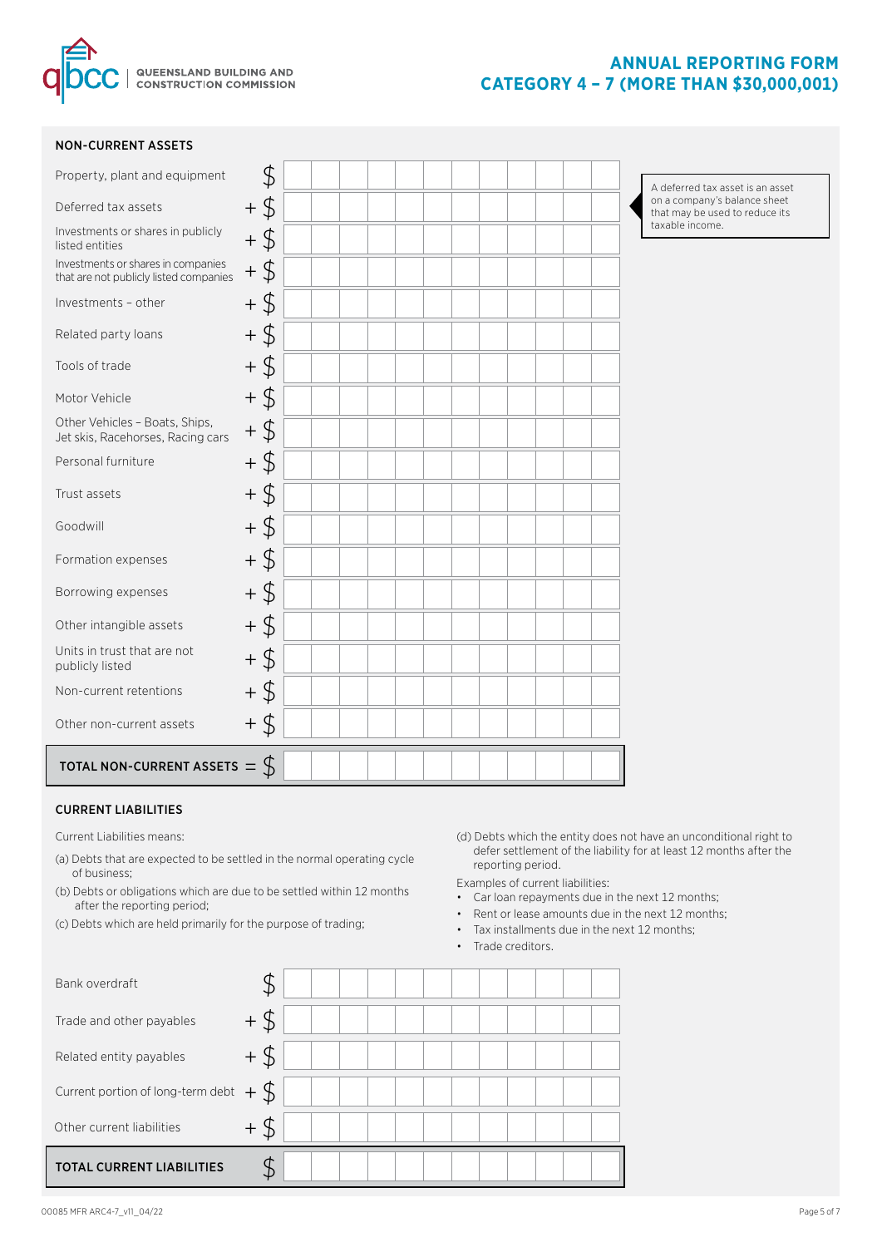

### NON-CURRENT ASSETS

| Property, plant and equipment                                                | \$            | A deferre            |
|------------------------------------------------------------------------------|---------------|----------------------|
| Deferred tax assets                                                          | $+$ \$        | on a com<br>that may |
| Investments or shares in publicly<br>listed entities                         | $+$ \$        | taxable in           |
| Investments or shares in companies<br>that are not publicly listed companies | $+$ \$        |                      |
| Investments - other                                                          | $+$ \$        |                      |
| Related party loans                                                          | $+$ \$        |                      |
| Tools of trade                                                               | $+$ \$        |                      |
| Motor Vehicle                                                                | $+$ \$        |                      |
| Other Vehicles - Boats, Ships,<br>Jet skis, Racehorses, Racing cars          | $+$ \$        |                      |
| Personal furniture                                                           | $+$ \$        |                      |
| Trust assets                                                                 | $+$ \$        |                      |
| Goodwill                                                                     | $+$ \$        |                      |
| Formation expenses                                                           | $+$ \$        |                      |
| Borrowing expenses                                                           | $+$ \$        |                      |
| Other intangible assets                                                      | $+$ \$        |                      |
| Units in trust that are not<br>publicly listed                               | $+$ \$        |                      |
| Non-current retentions                                                       | $+$ \$        |                      |
| Other non-current assets                                                     | $+$ \$        |                      |
| TOTAL NON-CURRENT ASSETS =                                                   | $\mathcal{L}$ |                      |

#### ed tax asset is an asset pany's balance sheet be used to reduce its ncome.

### CURRENT LIABILITIES

Current Liabilities means:

- (a) Debts that are expected to be settled in the normal operating cycle of business;
- (b) Debts or obligations which are due to be settled within 12 months after the reporting period;
- (c) Debts which are held primarily for the purpose of trading;
- (d) Debts which the entity does not have an unconditional right to defer settlement of the liability for at least 12 months after the reporting period.

Examples of current liabilities:

- Car loan repayments due in the next 12 months;
- Rent or lease amounts due in the next 12 months;
- Tax installments due in the next 12 months;
- Trade creditors.

| Bank overdraft                           |        |  |  |  |  |  |  |
|------------------------------------------|--------|--|--|--|--|--|--|
| Trade and other payables                 | $+$ \$ |  |  |  |  |  |  |
| Related entity payables                  | $+$ \$ |  |  |  |  |  |  |
| Current portion of long-term debt $+$ \$ |        |  |  |  |  |  |  |
| Other current liabilities                | $+$ \$ |  |  |  |  |  |  |
| <b>TOTAL CURRENT LIABILITIES</b>         |        |  |  |  |  |  |  |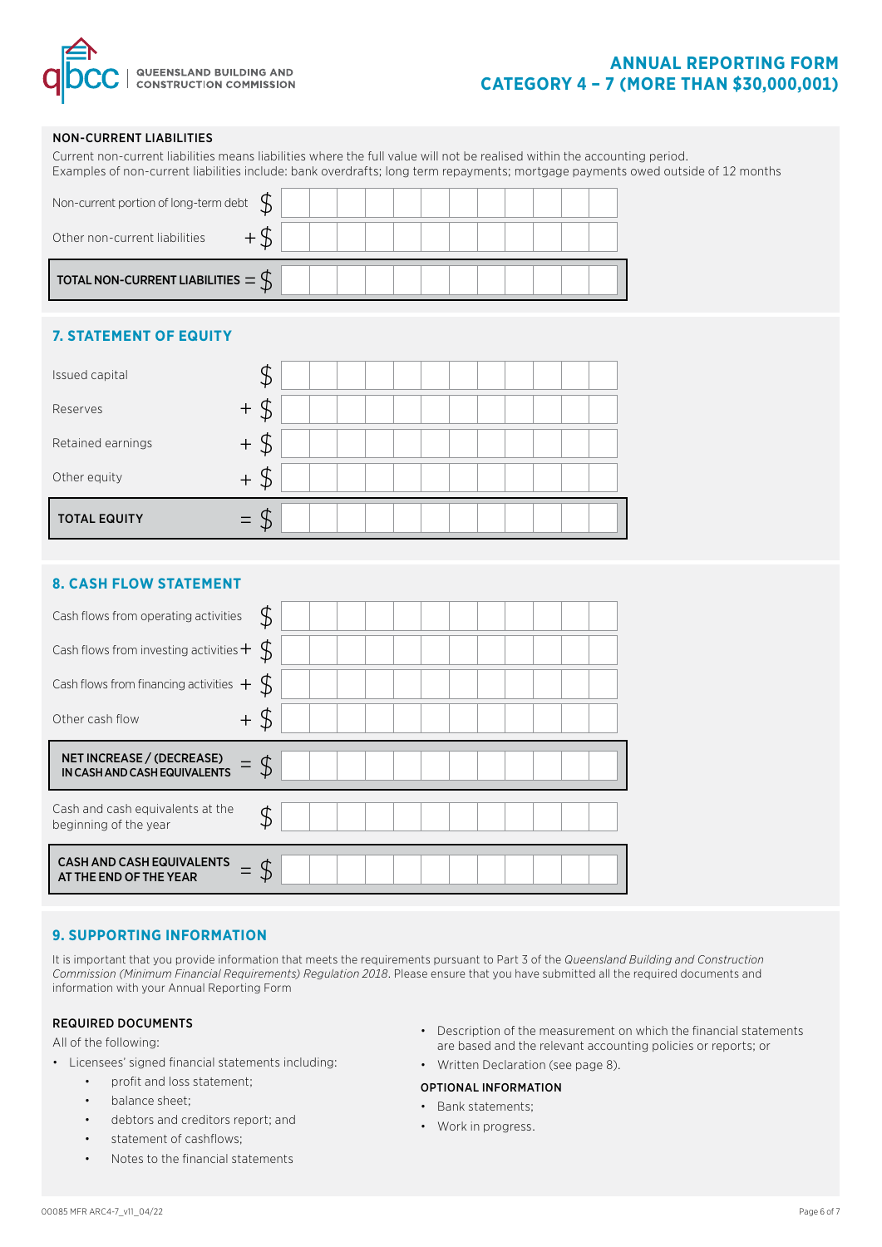

# **ANNUAL REPORTING FORM CATEGORY 4 – 7 (MORE THAN \$30,000,001)**

## NON-CURRENT LIABILITIES

|                                                           |                     | Current non-current liabilities means liabilities where the full value will not be realised within the accounting period.<br>Examples of non-current liabilities include: bank overdrafts; long term repayments; mortgage payments owed outside of 12 months |
|-----------------------------------------------------------|---------------------|--------------------------------------------------------------------------------------------------------------------------------------------------------------------------------------------------------------------------------------------------------------|
| Non-current portion of long-term debt                     | $\mathcal{L}$       |                                                                                                                                                                                                                                                              |
| Other non-current liabilities                             | $+$ \$              |                                                                                                                                                                                                                                                              |
| TOTAL NON-CURRENT LIABILITIES $=\oint$                    |                     |                                                                                                                                                                                                                                                              |
| <b>7. STATEMENT OF EQUITY</b>                             |                     |                                                                                                                                                                                                                                                              |
| Issued capital                                            | \$                  |                                                                                                                                                                                                                                                              |
| Reserves                                                  | $+$ \$              |                                                                                                                                                                                                                                                              |
| Retained earnings                                         | $+$ \$              |                                                                                                                                                                                                                                                              |
| Other equity                                              | $+$ \$              |                                                                                                                                                                                                                                                              |
| <b>TOTAL EQUITY</b>                                       | $\oint$<br>$\equiv$ |                                                                                                                                                                                                                                                              |
|                                                           |                     |                                                                                                                                                                                                                                                              |
| <b>8. CASH FLOW STATEMENT</b>                             |                     |                                                                                                                                                                                                                                                              |
| Cash flows from operating activities                      | \$                  |                                                                                                                                                                                                                                                              |
| Cash flows from investing activities $\pm$                | $\mathcal{L}$       |                                                                                                                                                                                                                                                              |
| Cash flows from financing activities $+$                  | $\mathcal{S}$       |                                                                                                                                                                                                                                                              |
| Other cash flow                                           | $+$ \$              |                                                                                                                                                                                                                                                              |
| NET INCREASE / (DECREASE)<br>IN CASH AND CASH EQUIVALENTS | $\oint$             |                                                                                                                                                                                                                                                              |
| Cash and cash equivalents at the<br>beginning of the year | \$                  |                                                                                                                                                                                                                                                              |

CASH AND CASH EQUIVALENTS  $\hskip10pt =\hskip1pt \oint$ =

## **9. SUPPORTING INFORMATION**

It is important that you provide information that meets the requirements pursuant to Part 3 of the *Queensland Building and Construction Commission (Minimum Financial Requirements) Regulation 2018*. Please ensure that you have submitted all the required documents and information with your Annual Reporting Form

## REQUIRED DOCUMENTS

All of the following:

- Licensees' signed financial statements including:
	- profit and loss statement;
		- balance sheet;
		- debtors and creditors report; and
		- statement of cashflows;
		- Notes to the financial statements
- Description of the measurement on which the financial statements are based and the relevant accounting policies or reports; or
- Written Declaration (see page 8).

# OPTIONAL INFORMATION

- Bank statements;
- Work in progress.